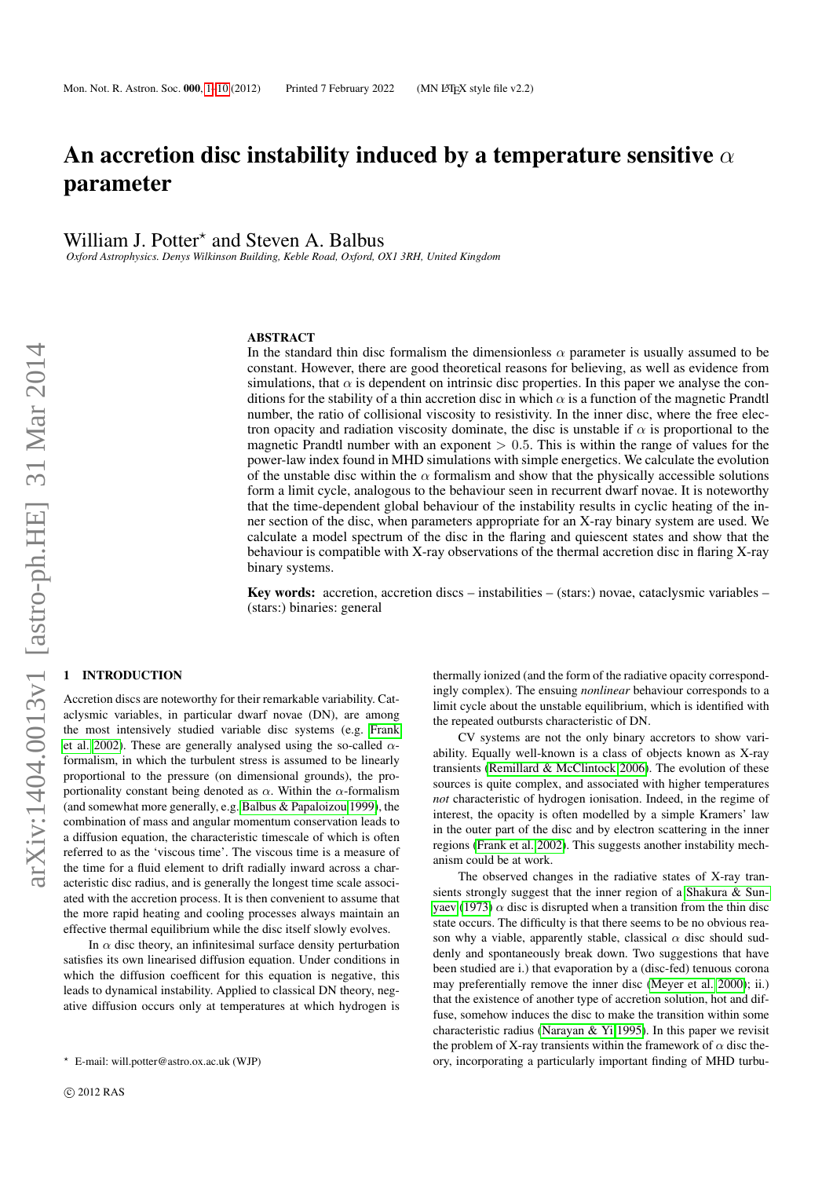# <span id="page-0-1"></span>An accretion disc instability induced by a temperature sensitive  $\alpha$ parameter

William J. Potter<sup>\*</sup> and Steven A. Balbus

*Oxford Astrophysics. Denys Wilkinson Building, Keble Road, Oxford, OX1 3RH, United Kingdom*

#### **ABSTRACT**

In the standard thin disc formalism the dimensionless  $\alpha$  parameter is usually assumed to be constant. However, there are good theoretical reasons for believing, as well as evidence from simulations, that  $\alpha$  is dependent on intrinsic disc properties. In this paper we analyse the conditions for the stability of a thin accretion disc in which  $\alpha$  is a function of the magnetic Prandtl number, the ratio of collisional viscosity to resistivity. In the inner disc, where the free electron opacity and radiation viscosity dominate, the disc is unstable if  $\alpha$  is proportional to the magnetic Prandtl number with an exponent  $> 0.5$ . This is within the range of values for the power-law index found in MHD simulations with simple energetics. We calculate the evolution of the unstable disc within the  $\alpha$  formalism and show that the physically accessible solutions form a limit cycle, analogous to the behaviour seen in recurrent dwarf novae. It is noteworthy that the time-dependent global behaviour of the instability results in cyclic heating of the inner section of the disc, when parameters appropriate for an X-ray binary system are used. We calculate a model spectrum of the disc in the flaring and quiescent states and show that the behaviour is compatible with X-ray observations of the thermal accretion disc in flaring X-ray binary systems.

Key words: accretion, accretion discs – instabilities – (stars:) novae, cataclysmic variables – (stars:) binaries: general

# <span id="page-0-0"></span>**INTRODUCTION**

Accretion discs are noteworthy for their remarkable variability. Cataclysmic variables, in particular dwarf novae (DN), are among the most intensively studied variable disc systems (e.g. [Frank](#page-9-0) [et al. 2002\)](#page-9-0). These are generally analysed using the so-called  $\alpha$ formalism, in which the turbulent stress is assumed to be linearly proportional to the pressure (on dimensional grounds), the proportionality constant being denoted as  $\alpha$ . Within the  $\alpha$ -formalism (and somewhat more generally, e.g. [Balbus & Papaloizou 1999\)](#page-9-1), the combination of mass and angular momentum conservation leads to a diffusion equation, the characteristic timescale of which is often referred to as the 'viscous time'. The viscous time is a measure of the time for a fluid element to drift radially inward across a characteristic disc radius, and is generally the longest time scale associated with the accretion process. It is then convenient to assume that the more rapid heating and cooling processes always maintain an effective thermal equilibrium while the disc itself slowly evolves.

In  $\alpha$  disc theory, an infinitesimal surface density perturbation satisfies its own linearised diffusion equation. Under conditions in which the diffusion coefficent for this equation is negative, this leads to dynamical instability. Applied to classical DN theory, negative diffusion occurs only at temperatures at which hydrogen is thermally ionized (and the form of the radiative opacity correspondingly complex). The ensuing *nonlinear* behaviour corresponds to a limit cycle about the unstable equilibrium, which is identified with the repeated outbursts characteristic of DN.

CV systems are not the only binary accretors to show variability. Equally well-known is a class of objects known as X-ray transients [\(Remillard & McClintock 2006\)](#page-9-2). The evolution of these sources is quite complex, and associated with higher temperatures *not* characteristic of hydrogen ionisation. Indeed, in the regime of interest, the opacity is often modelled by a simple Kramers' law in the outer part of the disc and by electron scattering in the inner regions [\(Frank et al. 2002\)](#page-9-0). This suggests another instability mechanism could be at work.

The observed changes in the radiative states of X-ray transients strongly suggest that the inner region of a [Shakura & Sun](#page-9-3)[yaev](#page-9-3) [\(1973\)](#page-9-3)  $\alpha$  disc is disrupted when a transition from the thin disc state occurs. The difficulty is that there seems to be no obvious reason why a viable, apparently stable, classical  $\alpha$  disc should suddenly and spontaneously break down. Two suggestions that have been studied are i.) that evaporation by a (disc-fed) tenuous corona may preferentially remove the inner disc [\(Meyer et al. 2000\)](#page-9-4); ii.) that the existence of another type of accretion solution, hot and diffuse, somehow induces the disc to make the transition within some characteristic radius [\(Narayan & Yi 1995\)](#page-9-5). In this paper we revisit the problem of X-ray transients within the framework of  $\alpha$  disc theory, incorporating a particularly important finding of MHD turbu-

<sup>?</sup> E-mail: will.potter@astro.ox.ac.uk (WJP)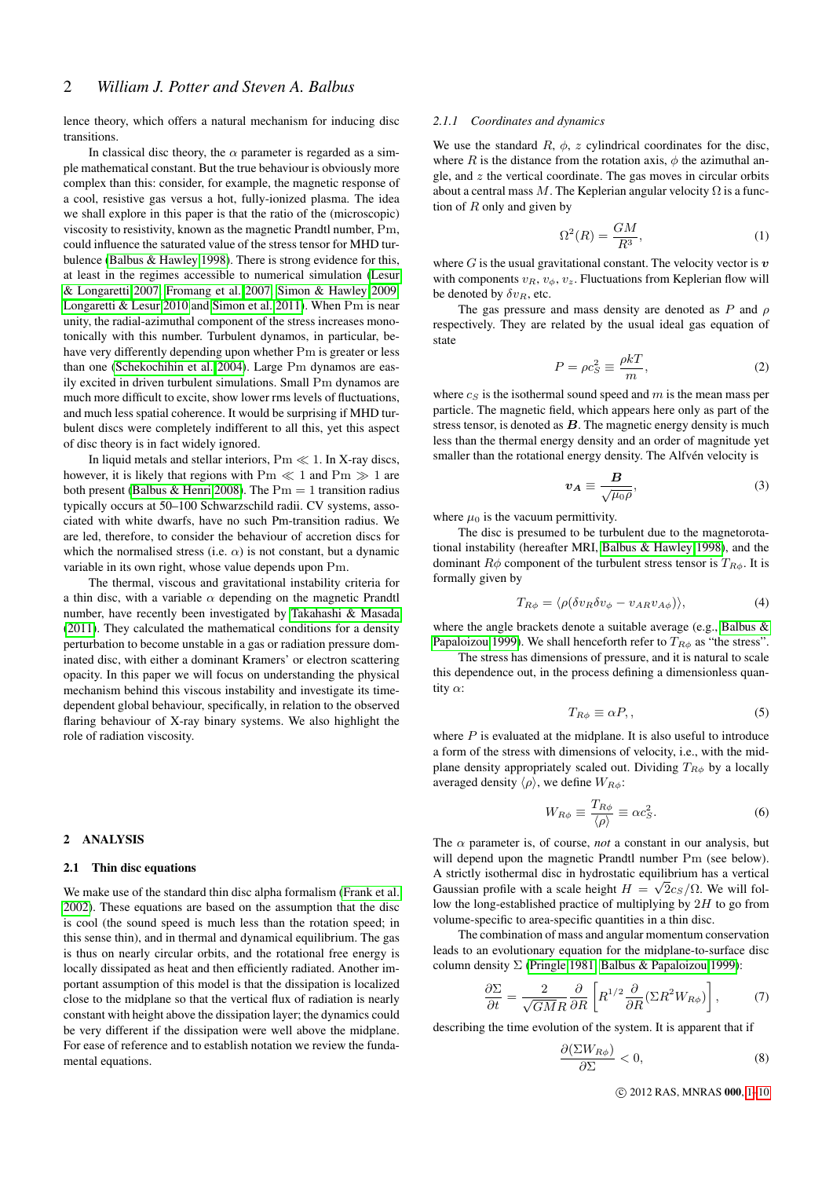lence theory, which offers a natural mechanism for inducing disc transitions.

In classical disc theory, the  $\alpha$  parameter is regarded as a simple mathematical constant. But the true behaviour is obviously more complex than this: consider, for example, the magnetic response of a cool, resistive gas versus a hot, fully-ionized plasma. The idea we shall explore in this paper is that the ratio of the (microscopic) viscosity to resistivity, known as the magnetic Prandtl number, Pm, could influence the saturated value of the stress tensor for MHD turbulence [\(Balbus & Hawley 1998\)](#page-9-6). There is strong evidence for this, at least in the regimes accessible to numerical simulation [\(Lesur](#page-9-7) [& Longaretti 2007,](#page-9-7) [Fromang et al. 2007,](#page-9-8) [Simon & Hawley 2009,](#page-9-9) [Longaretti & Lesur 2010](#page-9-10) and [Simon et al. 2011\)](#page-9-11). When Pm is near unity, the radial-azimuthal component of the stress increases monotonically with this number. Turbulent dynamos, in particular, behave very differently depending upon whether Pm is greater or less than one [\(Schekochihin et al. 2004\)](#page-9-12). Large Pm dynamos are easily excited in driven turbulent simulations. Small Pm dynamos are much more difficult to excite, show lower rms levels of fluctuations, and much less spatial coherence. It would be surprising if MHD turbulent discs were completely indifferent to all this, yet this aspect of disc theory is in fact widely ignored.

In liquid metals and stellar interiors,  $Pm \ll 1$ . In X-ray discs, however, it is likely that regions with  $Pm \ll 1$  and  $Pm \gg 1$  are both present [\(Balbus & Henri 2008\)](#page-9-13). The  $Pm = 1$  transition radius typically occurs at 50–100 Schwarzschild radii. CV systems, associated with white dwarfs, have no such Pm-transition radius. We are led, therefore, to consider the behaviour of accretion discs for which the normalised stress (i.e.  $\alpha$ ) is not constant, but a dynamic variable in its own right, whose value depends upon Pm.

The thermal, viscous and gravitational instability criteria for a thin disc, with a variable  $\alpha$  depending on the magnetic Prandtl number, have recently been investigated by [Takahashi & Masada](#page-9-14) [\(2011\)](#page-9-14). They calculated the mathematical conditions for a density perturbation to become unstable in a gas or radiation pressure dominated disc, with either a dominant Kramers' or electron scattering opacity. In this paper we will focus on understanding the physical mechanism behind this viscous instability and investigate its timedependent global behaviour, specifically, in relation to the observed flaring behaviour of X-ray binary systems. We also highlight the role of radiation viscosity.

# 2 ANALYSIS

## 2.1 Thin disc equations

We make use of the standard thin disc alpha formalism [\(Frank et al.](#page-9-0) [2002\)](#page-9-0). These equations are based on the assumption that the disc is cool (the sound speed is much less than the rotation speed; in this sense thin), and in thermal and dynamical equilibrium. The gas is thus on nearly circular orbits, and the rotational free energy is locally dissipated as heat and then efficiently radiated. Another important assumption of this model is that the dissipation is localized close to the midplane so that the vertical flux of radiation is nearly constant with height above the dissipation layer; the dynamics could be very different if the dissipation were well above the midplane. For ease of reference and to establish notation we review the fundamental equations.

#### *2.1.1 Coordinates and dynamics*

We use the standard  $R$ ,  $\phi$ ,  $z$  cylindrical coordinates for the disc, where R is the distance from the rotation axis,  $\phi$  the azimuthal angle, and  $z$  the vertical coordinate. The gas moves in circular orbits about a central mass M. The Keplerian angular velocity  $\Omega$  is a function of  $R$  only and given by

$$
\Omega^2(R) = \frac{GM}{R^3},\tag{1}
$$

where  $G$  is the usual gravitational constant. The velocity vector is  $v$ with components  $v_R$ ,  $v_{\phi}$ ,  $v_z$ . Fluctuations from Keplerian flow will be denoted by  $\delta v_R$ , etc.

The gas pressure and mass density are denoted as P and  $\rho$ respectively. They are related by the usual ideal gas equation of state

$$
P = \rho c_S^2 \equiv \frac{\rho kT}{m},\tag{2}
$$

where  $c_S$  is the isothermal sound speed and m is the mean mass per particle. The magnetic field, which appears here only as part of the stress tensor, is denoted as  $B$ . The magnetic energy density is much less than the thermal energy density and an order of magnitude yet smaller than the rotational energy density. The Alfvén velocity is

$$
v_A \equiv \frac{B}{\sqrt{\mu_0 \rho}},\tag{3}
$$

where  $\mu_0$  is the vacuum permittivity.

The disc is presumed to be turbulent due to the magnetorotational instability (hereafter MRI, [Balbus & Hawley 1998\)](#page-9-6), and the dominant  $R\phi$  component of the turbulent stress tensor is  $T_{R\phi}$ . It is formally given by

$$
T_{R\phi} = \langle \rho (\delta v_R \delta v_{\phi} - v_{AR} v_{A\phi}) \rangle, \tag{4}
$$

where the angle brackets denote a suitable average (e.g., [Balbus &](#page-9-1) [Papaloizou 1999\)](#page-9-1). We shall henceforth refer to  $T_{R\phi}$  as "the stress".

The stress has dimensions of pressure, and it is natural to scale this dependence out, in the process defining a dimensionless quantity  $\alpha$ :

<span id="page-1-1"></span>
$$
T_{R\phi} \equiv \alpha P, \qquad (5)
$$

where  $P$  is evaluated at the midplane. It is also useful to introduce a form of the stress with dimensions of velocity, i.e., with the midplane density appropriately scaled out. Dividing  $T_{R\phi}$  by a locally averaged density  $\langle \rho \rangle$ , we define  $W_{R\phi}$ :

$$
W_{R\phi} \equiv \frac{T_{R\phi}}{\langle \rho \rangle} \equiv \alpha c_S^2. \tag{6}
$$

The  $\alpha$  parameter is, of course, *not* a constant in our analysis, but will depend upon the magnetic Prandtl number Pm (see below). A strictly isothermal disc in hydrostatic equilibrium has a vertical Gaussian profile with a scale height  $H = \sqrt{2c_s/\Omega}$ . We will follow the long-established practice of multiplying by  $2H$  to go from volume-specific to area-specific quantities in a thin disc.

The combination of mass and angular momentum conservation leads to an evolutionary equation for the midplane-to-surface disc column density Σ [\(Pringle 1981;](#page-9-15) [Balbus & Papaloizou 1999\)](#page-9-1):

<span id="page-1-2"></span>
$$
\frac{\partial \Sigma}{\partial t} = \frac{2}{\sqrt{GMR}} \frac{\partial}{\partial R} \left[ R^{1/2} \frac{\partial}{\partial R} (\Sigma R^2 W_{R\phi}) \right],\tag{7}
$$

describing the time evolution of the system. It is apparent that if

<span id="page-1-0"></span>
$$
\frac{\partial(\Sigma W_{R\phi})}{\partial \Sigma} < 0,\tag{8}
$$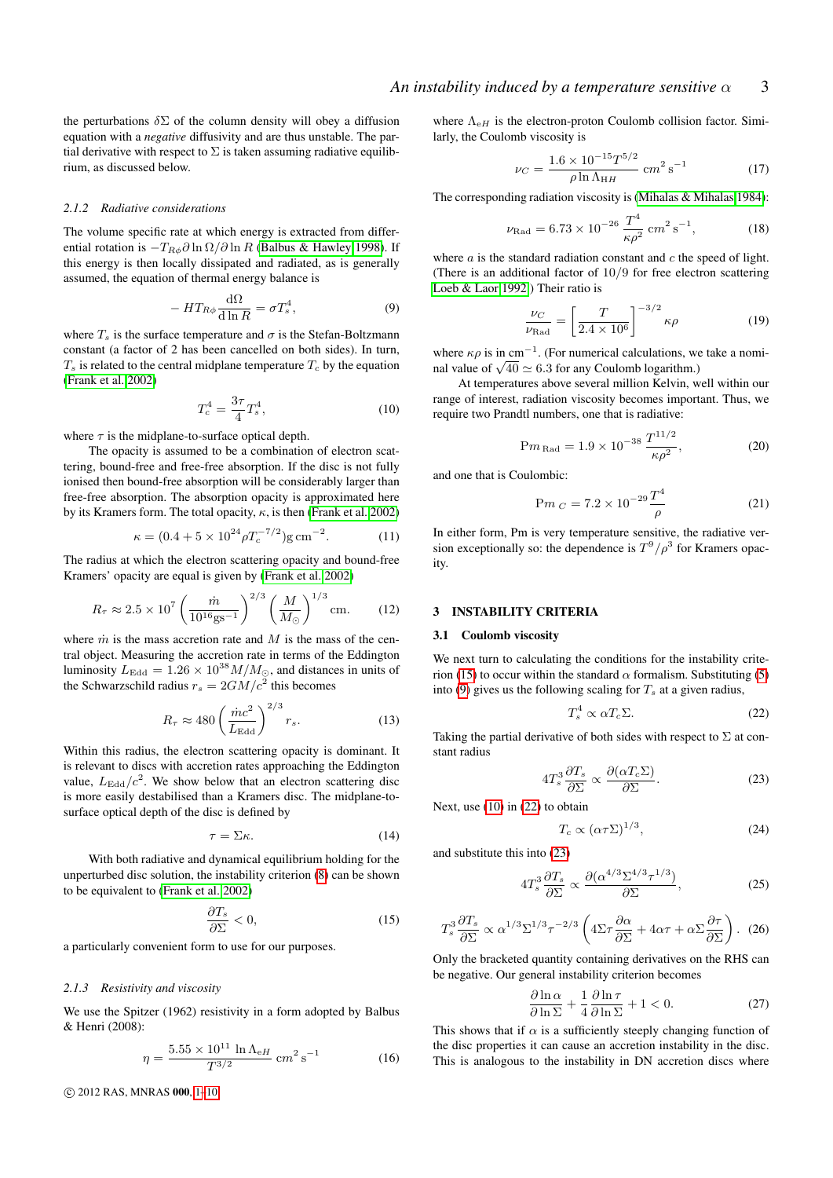the perturbations  $\delta \Sigma$  of the column density will obey a diffusion equation with a *negative* diffusivity and are thus unstable. The partial derivative with respect to  $\Sigma$  is taken assuming radiative equilibrium, as discussed below.

## *2.1.2 Radiative considerations*

The volume specific rate at which energy is extracted from differential rotation is  $-T_{R\phi}\partial \ln \Omega / \partial \ln R$  [\(Balbus & Hawley 1998\)](#page-9-6). If this energy is then locally dissipated and radiated, as is generally assumed, the equation of thermal energy balance is

<span id="page-2-1"></span>
$$
-HT_{R\phi}\frac{\mathrm{d}\Omega}{\mathrm{d}\ln R} = \sigma T_s^4,\tag{9}
$$

where  $T_s$  is the surface temperature and  $\sigma$  is the Stefan-Boltzmann constant (a factor of 2 has been cancelled on both sides). In turn,  $T<sub>s</sub>$  is related to the central midplane temperature  $T<sub>c</sub>$  by the equation [\(Frank et al. 2002\)](#page-9-0)

<span id="page-2-2"></span>
$$
T_c^4 = \frac{3\tau}{4} T_s^4,\tag{10}
$$

where  $\tau$  is the midplane-to-surface optical depth.

The opacity is assumed to be a combination of electron scattering, bound-free and free-free absorption. If the disc is not fully ionised then bound-free absorption will be considerably larger than free-free absorption. The absorption opacity is approximated here by its Kramers form. The total opacity,  $\kappa$ , is then [\(Frank et al. 2002\)](#page-9-0)

$$
\kappa = (0.4 + 5 \times 10^{24} \rho T_c^{-7/2}) \text{g cm}^{-2}.
$$
 (11)

The radius at which the electron scattering opacity and bound-free Kramers' opacity are equal is given by [\(Frank et al. 2002\)](#page-9-0)

$$
R_{\tau} \approx 2.5 \times 10^7 \left(\frac{\dot{m}}{10^{16} \text{gs}^{-1}}\right)^{2/3} \left(\frac{M}{M_{\odot}}\right)^{1/3} \text{cm}.
$$
 (12)

where  $\dot{m}$  is the mass accretion rate and  $M$  is the mass of the central object. Measuring the accretion rate in terms of the Eddington luminosity  $L_{\text{Edd}} = 1.26 \times 10^{38} M/M_{\odot}$ , and distances in units of the Schwarzschild radius  $r_s = 2GM/c^2$  this becomes

<span id="page-2-7"></span>
$$
R_{\tau} \approx 480 \left(\frac{\dot{m}c^2}{L_{\rm Edd}}\right)^{2/3} r_s. \tag{13}
$$

Within this radius, the electron scattering opacity is dominant. It is relevant to discs with accretion rates approaching the Eddington value,  $L_{\rm Edd}/c^2$ . We show below that an electron scattering disc is more easily destabilised than a Kramers disc. The midplane-tosurface optical depth of the disc is defined by

$$
\tau = \Sigma \kappa. \tag{14}
$$

With both radiative and dynamical equilibrium holding for the unperturbed disc solution, the instability criterion [\(8\)](#page-1-0) can be shown to be equivalent to [\(Frank et al. 2002\)](#page-9-0)

<span id="page-2-0"></span>
$$
\frac{\partial T_s}{\partial \Sigma} < 0,\tag{15}
$$

a particularly convenient form to use for our purposes.

## *2.1.3 Resistivity and viscosity*

We use the Spitzer (1962) resistivity in a form adopted by Balbus & Henri (2008):

$$
\eta = \frac{5.55 \times 10^{11} \ln \Lambda_{\text{eH}}}{T^{3/2}} \text{ cm}^2 \text{ s}^{-1}
$$
 (16)

c 2012 RAS, MNRAS 000, [1](#page-0-0)[–10](#page-0-1)

where  $\Lambda_{\rm eH}$  is the electron-proton Coulomb collision factor. Similarly, the Coulomb viscosity is

$$
\nu_C = \frac{1.6 \times 10^{-15} T^{5/2}}{\rho \ln \Lambda_{HH}} \, \text{cm}^2 \, \text{s}^{-1} \tag{17}
$$

The corresponding radiation viscosity is [\(Mihalas & Mihalas 1984\)](#page-9-16):

$$
\nu_{\text{Rad}} = 6.73 \times 10^{-26} \frac{T^4}{\kappa \rho^2} \, \text{cm}^2 \, \text{s}^{-1},\tag{18}
$$

where  $a$  is the standard radiation constant and  $c$  the speed of light. (There is an additional factor of 10/9 for free electron scattering [Loeb & Laor 1992.](#page-9-17)) Their ratio is

<span id="page-2-8"></span>
$$
\frac{\nu_C}{\nu_{\text{Rad}}} = \left[\frac{T}{2.4 \times 10^6}\right]^{-3/2} \kappa \rho \tag{19}
$$

where  $\kappa \rho$  is in cm<sup>-1</sup>. (For numerical calculations, we take a nomiwhere  $\kappa \rho$  is in cm  $\alpha$ . (For numerical calculations, words) and value of  $\sqrt{40} \simeq 6.3$  for any Coulomb logarithm.)

At temperatures above several million Kelvin, well within our range of interest, radiation viscosity becomes important. Thus, we require two Prandtl numbers, one that is radiative:

<span id="page-2-9"></span>
$$
Pm_{\text{Rad}} = 1.9 \times 10^{-38} \frac{T^{11/2}}{\kappa \rho^2},\tag{20}
$$

and one that is Coulombic:

$$
Pm_C = 7.2 \times 10^{-29} \frac{T^4}{\rho}
$$
 (21)

In either form, Pm is very temperature sensitive, the radiative version exceptionally so: the dependence is  $T^9/\rho^3$  for Kramers opacity.

### 3 INSTABILITY CRITERIA

# 3.1 Coulomb viscosity

We next turn to calculating the conditions for the instability crite-rion [\(15\)](#page-2-0) to occur within the standard  $\alpha$  formalism. Substituting [\(5\)](#page-1-1) into [\(9\)](#page-2-1) gives us the following scaling for  $T_s$  at a given radius,

<span id="page-2-3"></span>
$$
T_s^4 \propto \alpha T_c \Sigma. \tag{22}
$$

Taking the partial derivative of both sides with respect to  $\Sigma$  at constant radius

<span id="page-2-4"></span>
$$
4T_s^3 \frac{\partial T_s}{\partial \Sigma} \propto \frac{\partial (\alpha T_c \Sigma)}{\partial \Sigma}.
$$
 (23)

Next, use [\(10\)](#page-2-2) in [\(22\)](#page-2-3) to obtain

<span id="page-2-5"></span>
$$
T_c \propto \left(\alpha \tau \Sigma\right)^{1/3},\tag{24}
$$

and substitute this into [\(23\)](#page-2-4)

$$
4T_s^3 \frac{\partial T_s}{\partial \Sigma} \propto \frac{\partial (\alpha^{4/3} \Sigma^{4/3} \tau^{1/3})}{\partial \Sigma},\tag{25}
$$

$$
T_s^3 \frac{\partial T_s}{\partial \Sigma} \propto \alpha^{1/3} \Sigma^{1/3} \tau^{-2/3} \left( 4\Sigma \tau \frac{\partial \alpha}{\partial \Sigma} + 4\alpha \tau + \alpha \Sigma \frac{\partial \tau}{\partial \Sigma} \right). (26)
$$

Only the bracketed quantity containing derivatives on the RHS can be negative. Our general instability criterion becomes

<span id="page-2-6"></span>
$$
\frac{\partial \ln \alpha}{\partial \ln \Sigma} + \frac{1}{4} \frac{\partial \ln \tau}{\partial \ln \Sigma} + 1 < 0. \tag{27}
$$

This shows that if  $\alpha$  is a sufficiently steeply changing function of the disc properties it can cause an accretion instability in the disc. This is analogous to the instability in DN accretion discs where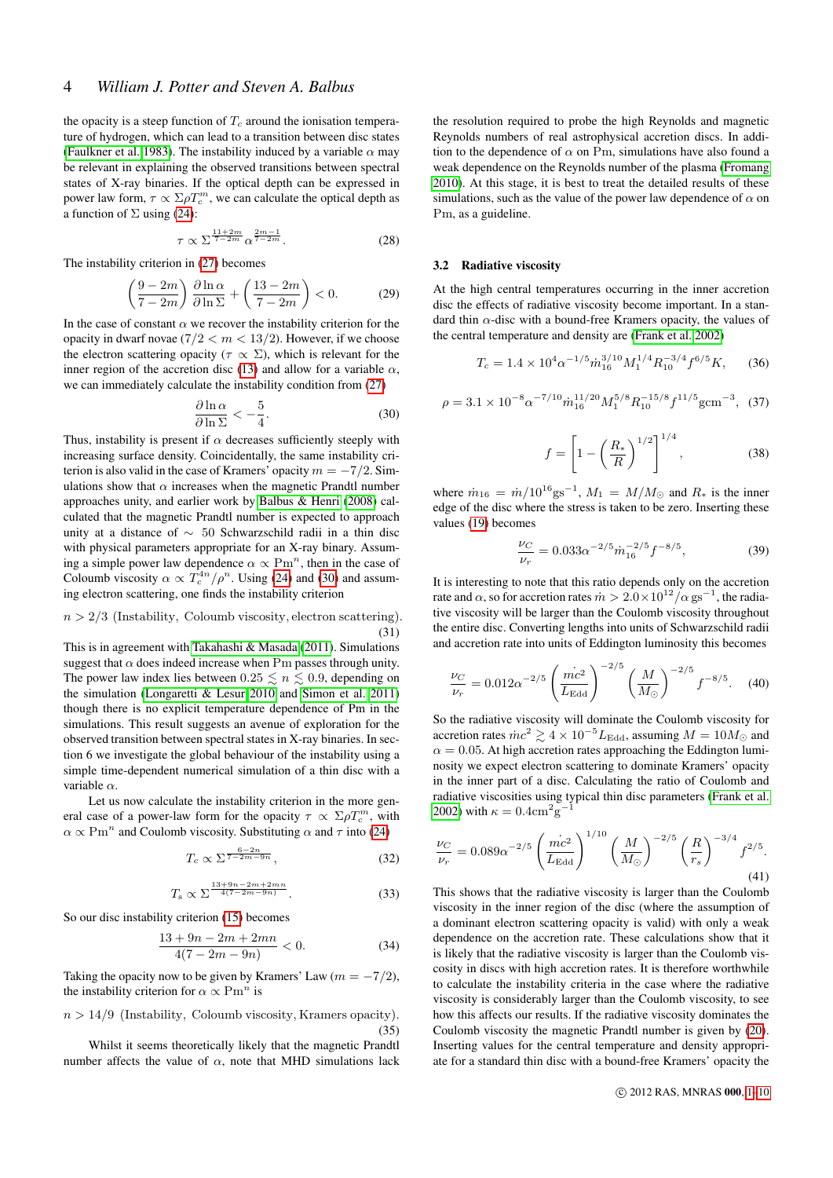the opacity is a steep function of  $T_c$  around the ionisation temperature of hydrogen, which can lead to a transition between disc states [\(Faulkner et al. 1983\)](#page-9-18). The instability induced by a variable  $\alpha$  may be relevant in explaining the observed transitions between spectral states of X-ray binaries. If the optical depth can be expressed in power law form,  $\tau \propto \Sigma \rho T_c^m$ , we can calculate the optical depth as a function of  $\Sigma$  using [\(24\)](#page-2-5):

$$
\tau \propto \Sigma^{\frac{11+2m}{7-2m}} \alpha^{\frac{2m-1}{7-2m}}.
$$
 (28)

The instability criterion in [\(27\)](#page-2-6) becomes

$$
\left(\frac{9-2m}{7-2m}\right)\frac{\partial\ln\alpha}{\partial\ln\Sigma} + \left(\frac{13-2m}{7-2m}\right) < 0.\tag{29}
$$

In the case of constant  $\alpha$  we recover the instability criterion for the opacity in dwarf novae  $(7/2 < m < 13/2)$ . However, if we choose the electron scattering opacity ( $\tau \propto \Sigma$ ), which is relevant for the inner region of the accretion disc [\(13\)](#page-2-7) and allow for a variable  $\alpha$ , we can immediately calculate the instability condition from [\(27\)](#page-2-6)

<span id="page-3-0"></span>
$$
\frac{\partial \ln \alpha}{\partial \ln \Sigma} < -\frac{5}{4}.\tag{30}
$$

Thus, instability is present if  $\alpha$  decreases sufficiently steeply with increasing surface density. Coincidentally, the same instability criterion is also valid in the case of Kramers' opacity  $m = -7/2$ . Simulations show that  $\alpha$  increases when the magnetic Prandtl number approaches unity, and earlier work by [Balbus & Henri](#page-9-13) [\(2008\)](#page-9-13) calculated that the magnetic Prandtl number is expected to approach unity at a distance of ∼ 50 Schwarzschild radii in a thin disc with physical parameters appropriate for an X-ray binary. Assuming a simple power law dependence  $\alpha \propto \text{Pm}^n$ , then in the case of Coloumb viscosity  $\alpha \propto T_c^{4n}/\rho^n$ . Using [\(24\)](#page-2-5) and [\(30\)](#page-3-0) and assuming electron scattering, one finds the instability criterion

#### <span id="page-3-1"></span> $n > 2/3$  (Instability, Coloumb viscosity, electron scattering). (31)

This is in agreement with [Takahashi & Masada](#page-9-14) [\(2011\)](#page-9-14). Simulations suggest that  $\alpha$  does indeed increase when Pm passes through unity. The power law index lies between  $0.25 \leq n \leq 0.9$ , depending on the simulation [\(Longaretti & Lesur 2010](#page-9-10) and [Simon et al. 2011\)](#page-9-11) though there is no explicit temperature dependence of Pm in the simulations. This result suggests an avenue of exploration for the observed transition between spectral states in X-ray binaries. In section 6 we investigate the global behaviour of the instability using a simple time-dependent numerical simulation of a thin disc with a variable  $\alpha$ .

Let us now calculate the instability criterion in the more general case of a power-law form for the opacity  $\tau \propto \Sigma \rho T_c^m$ , with  $\alpha \propto \text{Pm}^n$  and Coulomb viscosity. Substituting  $\alpha$  and  $\tau$  into [\(24\)](#page-2-5)

$$
T_c \propto \Sigma^{\frac{6-2n}{7-2m-9n}},\tag{32}
$$

$$
T_{\rm s} \propto \Sigma^{\frac{13+9n-2m+2mn}{4(7-2m-9n)}}.\tag{33}
$$

So our disc instability criterion [\(15\)](#page-2-0) becomes

$$
\frac{13+9n-2m+2mn}{4(7-2m-9n)} < 0. \tag{34}
$$

Taking the opacity now to be given by Kramers' Law  $(m = -7/2)$ , the instability criterion for  $\alpha \propto \text{Pm}^n$  is

<span id="page-3-2"></span> $n > 14/9$  (Instability, Coloumb viscosity, Kramers opacity). (35)

Whilst it seems theoretically likely that the magnetic Prandtl number affects the value of  $\alpha$ , note that MHD simulations lack the resolution required to probe the high Reynolds and magnetic Reynolds numbers of real astrophysical accretion discs. In addition to the dependence of  $\alpha$  on Pm, simulations have also found a weak dependence on the Reynolds number of the plasma [\(Fromang](#page-9-19) [2010\)](#page-9-19). At this stage, it is best to treat the detailed results of these simulations, such as the value of the power law dependence of  $\alpha$  on Pm, as a guideline.

## 3.2 Radiative viscosity

At the high central temperatures occurring in the inner accretion disc the effects of radiative viscosity become important. In a standard thin  $\alpha$ -disc with a bound-free Kramers opacity, the values of the central temperature and density are [\(Frank et al. 2002\)](#page-9-0)

<span id="page-3-3"></span>
$$
T_c = 1.4 \times 10^4 \alpha^{-1/5} \dot{m}_{16}^{3/10} M_1^{1/4} R_{10}^{-3/4} f^{6/5} K, \tag{36}
$$

$$
\rho = 3.1 \times 10^{-8} \alpha^{-7/10} \dot{m}_{16}^{11/20} M_1^{5/8} R_{10}^{-15/8} f^{11/5} \text{g} \text{cm}^{-3}, \tag{37}
$$

$$
f = \left[1 - \left(\frac{R_*}{R}\right)^{1/2}\right]^{1/4},\tag{38}
$$

where  $\dot{m}_{16} = \dot{m}/10^{16}$  gs<sup>-1</sup>,  $M_1 = M/M_{\odot}$  and  $R_*$  is the inner edge of the disc where the stress is taken to be zero. Inserting these values [\(19\)](#page-2-8) becomes

$$
\frac{\nu_C}{\nu_r} = 0.033 \alpha^{-2/5} \dot{m}_{16}^{-2/5} f^{-8/5},\tag{39}
$$

It is interesting to note that this ratio depends only on the accretion rate and  $\alpha$ , so for accretion rates  $\dot{m} > 2.0 \times 10^{12}/\alpha$  gs<sup>-1</sup>, the radiative viscosity will be larger than the Coulomb viscosity throughout the entire disc. Converting lengths into units of Schwarzschild radii and accretion rate into units of Eddington luminosity this becomes

$$
\frac{\nu_C}{\nu_r} = 0.012 \alpha^{-2/5} \left( \frac{mc^2}{L_{\rm Edd}} \right)^{-2/5} \left( \frac{M}{M_{\odot}} \right)^{-2/5} f^{-8/5}.
$$
 (40)

So the radiative viscosity will dominate the Coulomb viscosity for accretion rates  $\dot{m}c^2 \gtrsim 4 \times 10^{-5} L_{\text{Edd}}$ , assuming  $M = 10 M_{\odot}$  and  $\alpha = 0.05$ . At high accretion rates approaching the Eddington luminosity we expect electron scattering to dominate Kramers' opacity in the inner part of a disc. Calculating the ratio of Coulomb and radiative viscosities using typical thin disc parameters [\(Frank et al.](#page-9-0) [2002\)](#page-9-0) with  $\kappa = 0.4 \text{cm}^2 \text{g}^{-1}$ 

$$
\frac{\nu_C}{\nu_r} = 0.089 \alpha^{-2/5} \left(\frac{mc^2}{L_{\rm Edd}}\right)^{1/10} \left(\frac{M}{M_{\odot}}\right)^{-2/5} \left(\frac{R}{r_s}\right)^{-3/4} f^{2/5}.
$$
\n(41)

This shows that the radiative viscosity is larger than the Coulomb viscosity in the inner region of the disc (where the assumption of a dominant electron scattering opacity is valid) with only a weak dependence on the accretion rate. These calculations show that it is likely that the radiative viscosity is larger than the Coulomb viscosity in discs with high accretion rates. It is therefore worthwhile to calculate the instability criteria in the case where the radiative viscosity is considerably larger than the Coulomb viscosity, to see how this affects our results. If the radiative viscosity dominates the Coulomb viscosity the magnetic Prandtl number is given by [\(20\)](#page-2-9). Inserting values for the central temperature and density appropriate for a standard thin disc with a bound-free Kramers' opacity the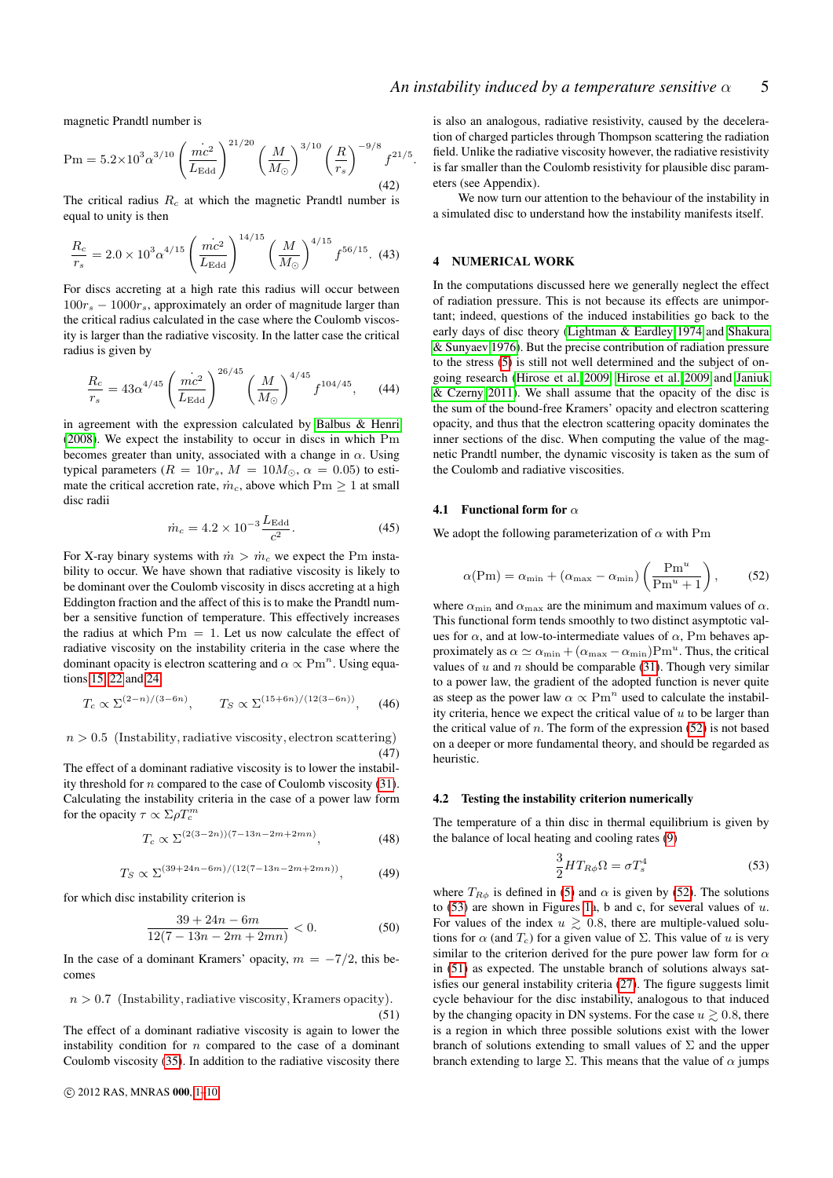magnetic Prandtl number is

$$
Pm = 5.2 \times 10^3 \alpha^{3/10} \left(\frac{mc^2}{L_{\rm Edd}}\right)^{21/20} \left(\frac{M}{M_{\odot}}\right)^{3/10} \left(\frac{R}{r_s}\right)^{-9/8} f^{21/5}
$$
\n(42)

The critical radius  $R_c$  at which the magnetic Prandtl number is equal to unity is then

$$
\frac{R_c}{r_s} = 2.0 \times 10^3 \alpha^{4/15} \left(\frac{\dot{mc}^2}{L_{\text{Edd}}}\right)^{14/15} \left(\frac{M}{M_{\odot}}\right)^{4/15} f^{56/15}.
$$
 (43)

For discs accreting at a high rate this radius will occur between  $100r<sub>s</sub> - 1000r<sub>s</sub>$ , approximately an order of magnitude larger than the critical radius calculated in the case where the Coulomb viscosity is larger than the radiative viscosity. In the latter case the critical radius is given by

$$
\frac{R_c}{r_s} = 43\alpha^{4/45} \left(\frac{mc^2}{L_{\rm Edd}}\right)^{26/45} \left(\frac{M}{M_{\odot}}\right)^{4/45} f^{104/45},\qquad(44)
$$

in agreement with the expression calculated by [Balbus & Henri](#page-9-13) [\(2008\)](#page-9-13). We expect the instability to occur in discs in which Pm becomes greater than unity, associated with a change in  $\alpha$ . Using typical parameters  $(R = 10r_s, M = 10M_{\odot}, \alpha = 0.05)$  to estimate the critical accretion rate,  $\dot{m}_c$ , above which Pm  $\geq 1$  at small disc radii

<span id="page-4-3"></span>
$$
\dot{m}_c = 4.2 \times 10^{-3} \frac{L_{\rm Edd}}{c^2}.
$$
\n(45)

For X-ray binary systems with  $\dot{m} > \dot{m}_c$  we expect the Pm instability to occur. We have shown that radiative viscosity is likely to be dominant over the Coulomb viscosity in discs accreting at a high Eddington fraction and the affect of this is to make the Prandtl number a sensitive function of temperature. This effectively increases the radius at which  $Pm = 1$ . Let us now calculate the effect of radiative viscosity on the instability criteria in the case where the dominant opacity is electron scattering and  $\alpha \propto \text{Pm}^n$ . Using equations [15,](#page-2-0) [22](#page-2-3) and [24](#page-2-5)

$$
T_c \propto \Sigma^{(2-n)/(3-6n)}, \qquad T_S \propto \Sigma^{(15+6n)/(12(3-6n))},
$$
 (46)

 $n > 0.5$  (Instability, radiative viscosity, electron scattering) (47)

The effect of a dominant radiative viscosity is to lower the instability threshold for n compared to the case of Coulomb viscosity [\(31\)](#page-3-1). Calculating the instability criteria in the case of a power law form for the opacity  $\tau \propto \Sigma \rho T_c^m$ 

$$
T_c \propto \Sigma^{(2(3-2n))(7-13n-2m+2mn)},\tag{48}
$$

$$
T_S \propto \Sigma^{(39+24n-6m)/(12(7-13n-2m+2mn))}, \tag{49}
$$

for which disc instability criterion is

$$
\frac{39 + 24n - 6m}{12(7 - 13n - 2m + 2mn)} < 0. \tag{50}
$$

In the case of a dominant Kramers' opacity,  $m = -7/2$ , this becomes

<span id="page-4-2"></span>
$$
n > 0.7
$$
 (Instability, radiative viscosity, Kramers opacity).  $(51)$ 

The effect of a dominant radiative viscosity is again to lower the instability condition for  $n$  compared to the case of a dominant Coulomb viscosity [\(35\)](#page-3-2). In addition to the radiative viscosity there

is also an analogous, radiative resistivity, caused by the deceleration of charged particles through Thompson scattering the radiation field. Unlike the radiative viscosity however, the radiative resistivity is far smaller than the Coulomb resistivity for plausible disc parameters (see Appendix).

We now turn our attention to the behaviour of the instability in a simulated disc to understand how the instability manifests itself.

# 4 NUMERICAL WORK

.

In the computations discussed here we generally neglect the effect of radiation pressure. This is not because its effects are unimportant; indeed, questions of the induced instabilities go back to the early days of disc theory [\(Lightman & Eardley 1974](#page-9-20) and [Shakura](#page-9-21) [& Sunyaev 1976\)](#page-9-21). But the precise contribution of radiation pressure to the stress [\(5\)](#page-1-1) is still not well determined and the subject of ongoing research [\(Hirose et al. 2009,](#page-9-22) [Hirose et al. 2009](#page-9-23) and [Janiuk](#page-9-24) [& Czerny 2011\)](#page-9-24). We shall assume that the opacity of the disc is the sum of the bound-free Kramers' opacity and electron scattering opacity, and thus that the electron scattering opacity dominates the inner sections of the disc. When computing the value of the magnetic Prandtl number, the dynamic viscosity is taken as the sum of the Coulomb and radiative viscosities.

#### 4.1 Functional form for  $\alpha$

We adopt the following parameterization of  $\alpha$  with Pm

<span id="page-4-0"></span>
$$
\alpha(\text{Pm}) = \alpha_{\min} + (\alpha_{\max} - \alpha_{\min}) \left( \frac{\text{Pm}^u}{\text{Pm}^u + 1} \right), \quad (52)
$$

where  $\alpha_{\min}$  and  $\alpha_{\max}$  are the minimum and maximum values of  $\alpha$ . This functional form tends smoothly to two distinct asymptotic values for  $\alpha$ , and at low-to-intermediate values of  $\alpha$ , Pm behaves approximately as  $\alpha \simeq \alpha_{\min} + (\alpha_{\max} - \alpha_{\min}) P m^u$ . Thus, the critical values of  $u$  and  $n$  should be comparable [\(31\)](#page-3-1). Though very similar to a power law, the gradient of the adopted function is never quite as steep as the power law  $\alpha \propto Pm^n$  used to calculate the instability criteria, hence we expect the critical value of  $u$  to be larger than the critical value of  $n$ . The form of the expression [\(52\)](#page-4-0) is not based on a deeper or more fundamental theory, and should be regarded as heuristic.

#### 4.2 Testing the instability criterion numerically

The temperature of a thin disc in thermal equilibrium is given by the balance of local heating and cooling rates [\(9\)](#page-2-1)

<span id="page-4-1"></span>
$$
\frac{3}{2}HT_{R\phi}\Omega = \sigma T_s^4\tag{53}
$$

where  $T_{R\phi}$  is defined in [\(5\)](#page-1-1) and  $\alpha$  is given by [\(52\)](#page-4-0). The solutions to  $(53)$  are shown in Figures [1a](#page-6-0), b and c, for several values of u. For values of the index  $u \ge 0.8$ , there are multiple-valued solutions for  $\alpha$  (and  $T_c$ ) for a given value of  $\Sigma$ . This value of u is very similar to the criterion derived for the pure power law form for  $\alpha$ in [\(51\)](#page-4-2) as expected. The unstable branch of solutions always satisfies our general instability criteria [\(27\)](#page-2-6). The figure suggests limit cycle behaviour for the disc instability, analogous to that induced by the changing opacity in DN systems. For the case  $u \gtrsim 0.8$ , there is a region in which three possible solutions exist with the lower branch of solutions extending to small values of  $\Sigma$  and the upper branch extending to large  $\Sigma$ . This means that the value of  $\alpha$  jumps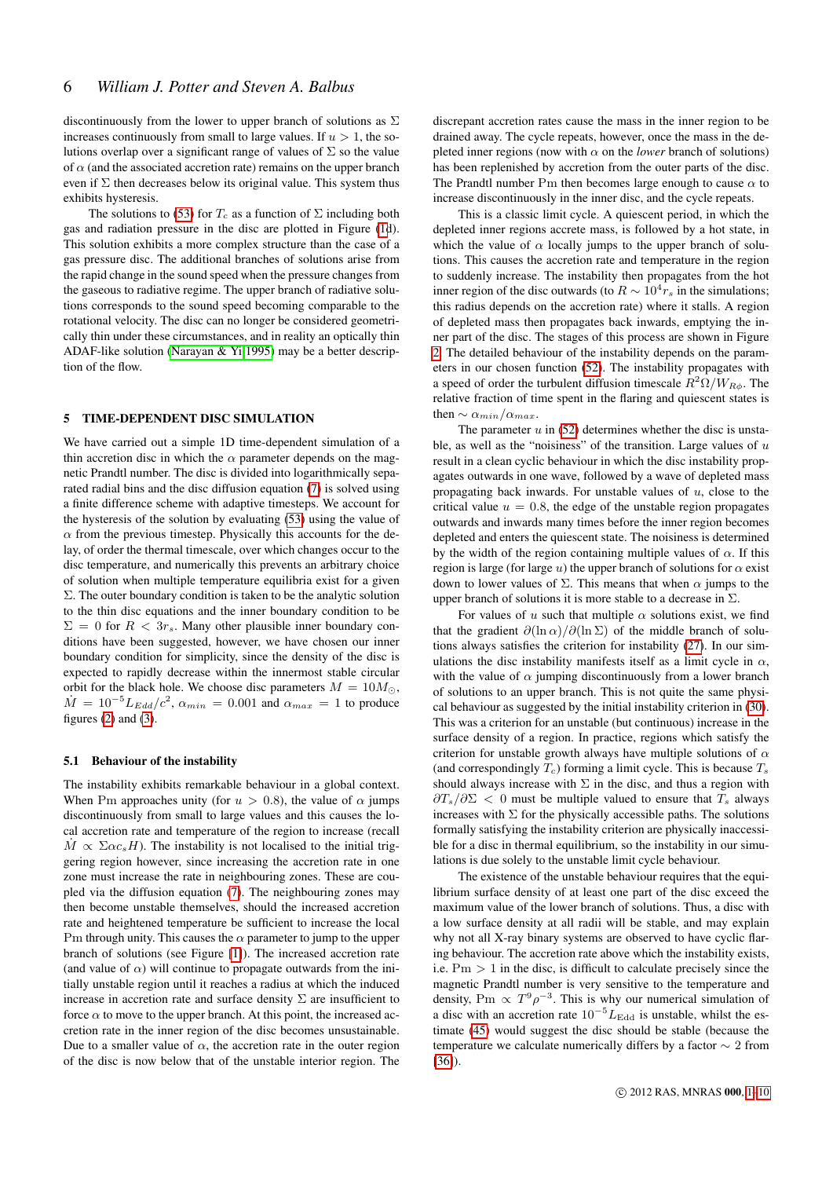discontinuously from the lower to upper branch of solutions as  $\Sigma$ increases continuously from small to large values. If  $u > 1$ , the solutions overlap over a significant range of values of  $\Sigma$  so the value of  $\alpha$  (and the associated accretion rate) remains on the upper branch even if  $\Sigma$  then decreases below its original value. This system thus exhibits hysteresis.

The solutions to [\(53\)](#page-4-1) for  $T_c$  as a function of  $\Sigma$  including both gas and radiation pressure in the disc are plotted in Figure [\(1d](#page-6-0)). This solution exhibits a more complex structure than the case of a gas pressure disc. The additional branches of solutions arise from the rapid change in the sound speed when the pressure changes from the gaseous to radiative regime. The upper branch of radiative solutions corresponds to the sound speed becoming comparable to the rotational velocity. The disc can no longer be considered geometrically thin under these circumstances, and in reality an optically thin ADAF-like solution [\(Narayan & Yi 1995\)](#page-9-5) may be a better description of the flow.

# 5 TIME-DEPENDENT DISC SIMULATION

We have carried out a simple 1D time-dependent simulation of a thin accretion disc in which the  $\alpha$  parameter depends on the magnetic Prandtl number. The disc is divided into logarithmically separated radial bins and the disc diffusion equation [\(7\)](#page-1-2) is solved using a finite difference scheme with adaptive timesteps. We account for the hysteresis of the solution by evaluating [\(53\)](#page-4-1) using the value of  $\alpha$  from the previous timestep. Physically this accounts for the delay, of order the thermal timescale, over which changes occur to the disc temperature, and numerically this prevents an arbitrary choice of solution when multiple temperature equilibria exist for a given Σ. The outer boundary condition is taken to be the analytic solution to the thin disc equations and the inner boundary condition to be  $\Sigma = 0$  for  $R < 3r_s$ . Many other plausible inner boundary conditions have been suggested, however, we have chosen our inner boundary condition for simplicity, since the density of the disc is expected to rapidly decrease within the innermost stable circular orbit for the black hole. We choose disc parameters  $M = 10 M_{\odot}$ ,  $\dot{M} = 10^{-5} L_{Edd}/c^2$ ,  $\alpha_{min} = 0.001$  and  $\alpha_{max} = 1$  to produce figures  $(2)$  and  $(3)$ .

#### 5.1 Behaviour of the instability

The instability exhibits remarkable behaviour in a global context. When Pm approaches unity (for  $u > 0.8$ ), the value of  $\alpha$  jumps discontinuously from small to large values and this causes the local accretion rate and temperature of the region to increase (recall  $M \propto \Sigma \alpha c_s H$ ). The instability is not localised to the initial triggering region however, since increasing the accretion rate in one zone must increase the rate in neighbouring zones. These are coupled via the diffusion equation [\(7\)](#page-1-2). The neighbouring zones may then become unstable themselves, should the increased accretion rate and heightened temperature be sufficient to increase the local Pm through unity. This causes the  $\alpha$  parameter to jump to the upper branch of solutions (see Figure [\[1\]](#page-6-0)). The increased accretion rate (and value of  $\alpha$ ) will continue to propagate outwards from the initially unstable region until it reaches a radius at which the induced increase in accretion rate and surface density  $\Sigma$  are insufficient to force  $\alpha$  to move to the upper branch. At this point, the increased accretion rate in the inner region of the disc becomes unsustainable. Due to a smaller value of  $\alpha$ , the accretion rate in the outer region of the disc is now below that of the unstable interior region. The

discrepant accretion rates cause the mass in the inner region to be drained away. The cycle repeats, however, once the mass in the depleted inner regions (now with  $\alpha$  on the *lower* branch of solutions) has been replenished by accretion from the outer parts of the disc. The Prandtl number Pm then becomes large enough to cause  $\alpha$  to increase discontinuously in the inner disc, and the cycle repeats.

This is a classic limit cycle. A quiescent period, in which the depleted inner regions accrete mass, is followed by a hot state, in which the value of  $\alpha$  locally jumps to the upper branch of solutions. This causes the accretion rate and temperature in the region to suddenly increase. The instability then propagates from the hot inner region of the disc outwards (to  $R \sim 10^4 r_s$  in the simulations; this radius depends on the accretion rate) where it stalls. A region of depleted mass then propagates back inwards, emptying the inner part of the disc. The stages of this process are shown in Figure [2.](#page-7-0) The detailed behaviour of the instability depends on the parameters in our chosen function [\(52\)](#page-4-0). The instability propagates with a speed of order the turbulent diffusion timescale  $R^2 \Omega / W_{R\phi}$ . The relative fraction of time spent in the flaring and quiescent states is then  $\sim \alpha_{min}/\alpha_{max}$ .

The parameter  $u$  in [\(52\)](#page-4-0) determines whether the disc is unstable, as well as the "noisiness" of the transition. Large values of  $u$ result in a clean cyclic behaviour in which the disc instability propagates outwards in one wave, followed by a wave of depleted mass propagating back inwards. For unstable values of  $u$ , close to the critical value  $u = 0.8$ , the edge of the unstable region propagates outwards and inwards many times before the inner region becomes depleted and enters the quiescent state. The noisiness is determined by the width of the region containing multiple values of  $\alpha$ . If this region is large (for large u) the upper branch of solutions for  $\alpha$  exist down to lower values of Σ. This means that when  $\alpha$  jumps to the upper branch of solutions it is more stable to a decrease in  $\Sigma$ .

For values of u such that multiple  $\alpha$  solutions exist, we find that the gradient  $\partial (\ln \alpha)/\partial (\ln \Sigma)$  of the middle branch of solutions always satisfies the criterion for instability [\(27\)](#page-2-6). In our simulations the disc instability manifests itself as a limit cycle in  $\alpha$ , with the value of  $\alpha$  jumping discontinuously from a lower branch of solutions to an upper branch. This is not quite the same physical behaviour as suggested by the initial instability criterion in [\(30\)](#page-3-0). This was a criterion for an unstable (but continuous) increase in the surface density of a region. In practice, regions which satisfy the criterion for unstable growth always have multiple solutions of  $\alpha$ (and correspondingly  $T_c$ ) forming a limit cycle. This is because  $T_s$ should always increase with  $\Sigma$  in the disc, and thus a region with  $\partial T_s/\partial \Sigma$  < 0 must be multiple valued to ensure that  $T_s$  always increases with  $\Sigma$  for the physically accessible paths. The solutions formally satisfying the instability criterion are physically inaccessible for a disc in thermal equilibrium, so the instability in our simulations is due solely to the unstable limit cycle behaviour.

The existence of the unstable behaviour requires that the equilibrium surface density of at least one part of the disc exceed the maximum value of the lower branch of solutions. Thus, a disc with a low surface density at all radii will be stable, and may explain why not all X-ray binary systems are observed to have cyclic flaring behaviour. The accretion rate above which the instability exists, i.e.  $Pm > 1$  in the disc, is difficult to calculate precisely since the magnetic Prandtl number is very sensitive to the temperature and density, Pm  $\propto T^9 \rho^{-3}$ . This is why our numerical simulation of a disc with an accretion rate  $10^{-5}L_{\text{Edd}}$  is unstable, whilst the estimate [\(45\)](#page-4-3) would suggest the disc should be stable (because the temperature we calculate numerically differs by a factor ∼ 2 from [\[36\]](#page-3-3)).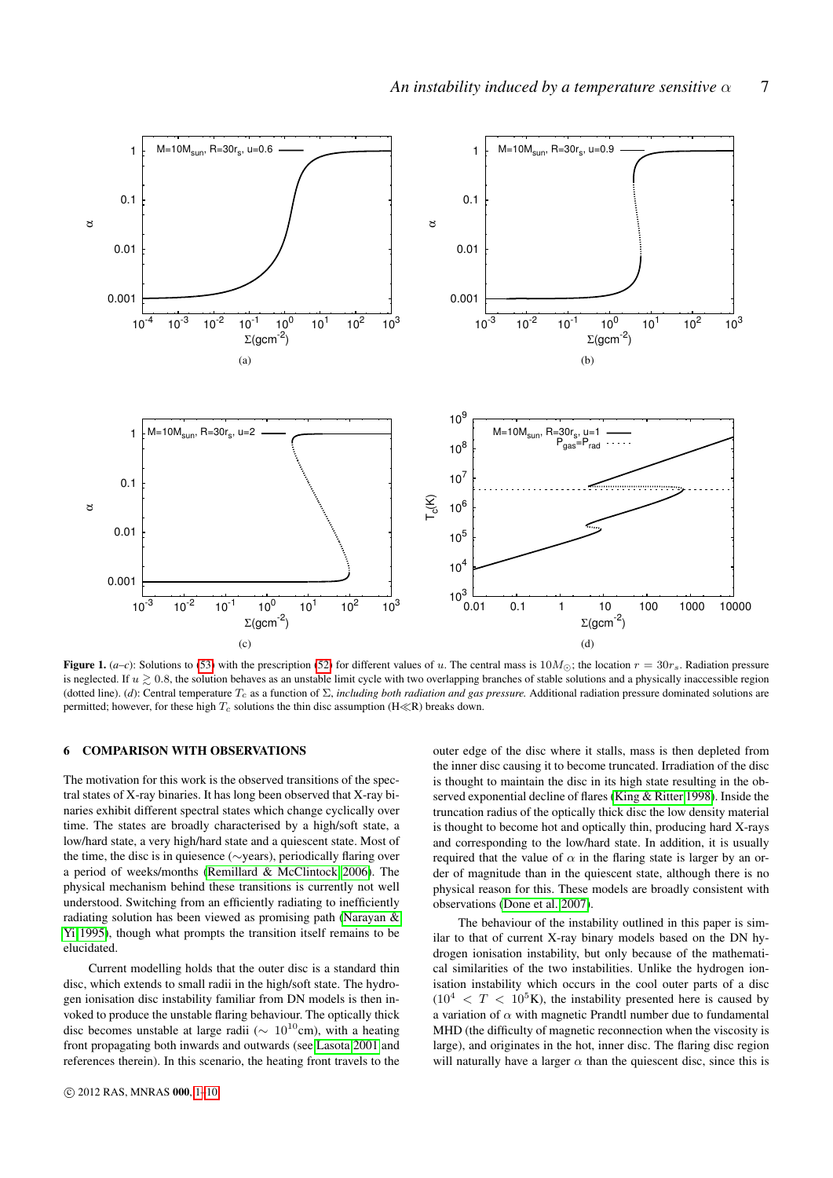<span id="page-6-0"></span>

Figure 1.  $(a-c)$ : Solutions to [\(53\)](#page-4-1) with the prescription [\(52\)](#page-4-0) for different values of u. The central mass is  $10M_{\odot}$ ; the location  $r = 30r_s$ . Radiation pressure is neglected. If  $u \ge 0.8$ , the solution behaves as an unstable limit cycle with two overlapping branches of stable solutions and a physically inaccessible region (dotted line). (*d*): Central temperature  $T_c$  as a function of  $\Sigma$ , *including both radiation and gas pressure*. Additional radiation pressure dominated solutions are permitted; however, for these high  $T_c$  solutions the thin disc assumption (H $\ll$ R) breaks down.

# 6 COMPARISON WITH OBSERVATIONS

The motivation for this work is the observed transitions of the spectral states of X-ray binaries. It has long been observed that X-ray binaries exhibit different spectral states which change cyclically over time. The states are broadly characterised by a high/soft state, a low/hard state, a very high/hard state and a quiescent state. Most of the time, the disc is in quiesence (∼years), periodically flaring over a period of weeks/months [\(Remillard & McClintock 2006\)](#page-9-2). The physical mechanism behind these transitions is currently not well understood. Switching from an efficiently radiating to inefficiently radiating solution has been viewed as promising path [\(Narayan &](#page-9-5) [Yi 1995\)](#page-9-5), though what prompts the transition itself remains to be elucidated.

Current modelling holds that the outer disc is a standard thin disc, which extends to small radii in the high/soft state. The hydrogen ionisation disc instability familiar from DN models is then invoked to produce the unstable flaring behaviour. The optically thick disc becomes unstable at large radii ( $\sim 10^{10}$ cm), with a heating front propagating both inwards and outwards (see [Lasota 2001](#page-9-25) and references therein). In this scenario, the heating front travels to the outer edge of the disc where it stalls, mass is then depleted from the inner disc causing it to become truncated. Irradiation of the disc is thought to maintain the disc in its high state resulting in the observed exponential decline of flares [\(King & Ritter 1998\)](#page-9-26). Inside the truncation radius of the optically thick disc the low density material is thought to become hot and optically thin, producing hard X-rays and corresponding to the low/hard state. In addition, it is usually required that the value of  $\alpha$  in the flaring state is larger by an order of magnitude than in the quiescent state, although there is no physical reason for this. These models are broadly consistent with observations [\(Done et al. 2007\)](#page-9-27).

The behaviour of the instability outlined in this paper is similar to that of current X-ray binary models based on the DN hydrogen ionisation instability, but only because of the mathematical similarities of the two instabilities. Unlike the hydrogen ionisation instability which occurs in the cool outer parts of a disc  $(10^4 \, < T \, < 10^5$ K), the instability presented here is caused by a variation of  $\alpha$  with magnetic Prandtl number due to fundamental MHD (the difficulty of magnetic reconnection when the viscosity is large), and originates in the hot, inner disc. The flaring disc region will naturally have a larger  $\alpha$  than the quiescent disc, since this is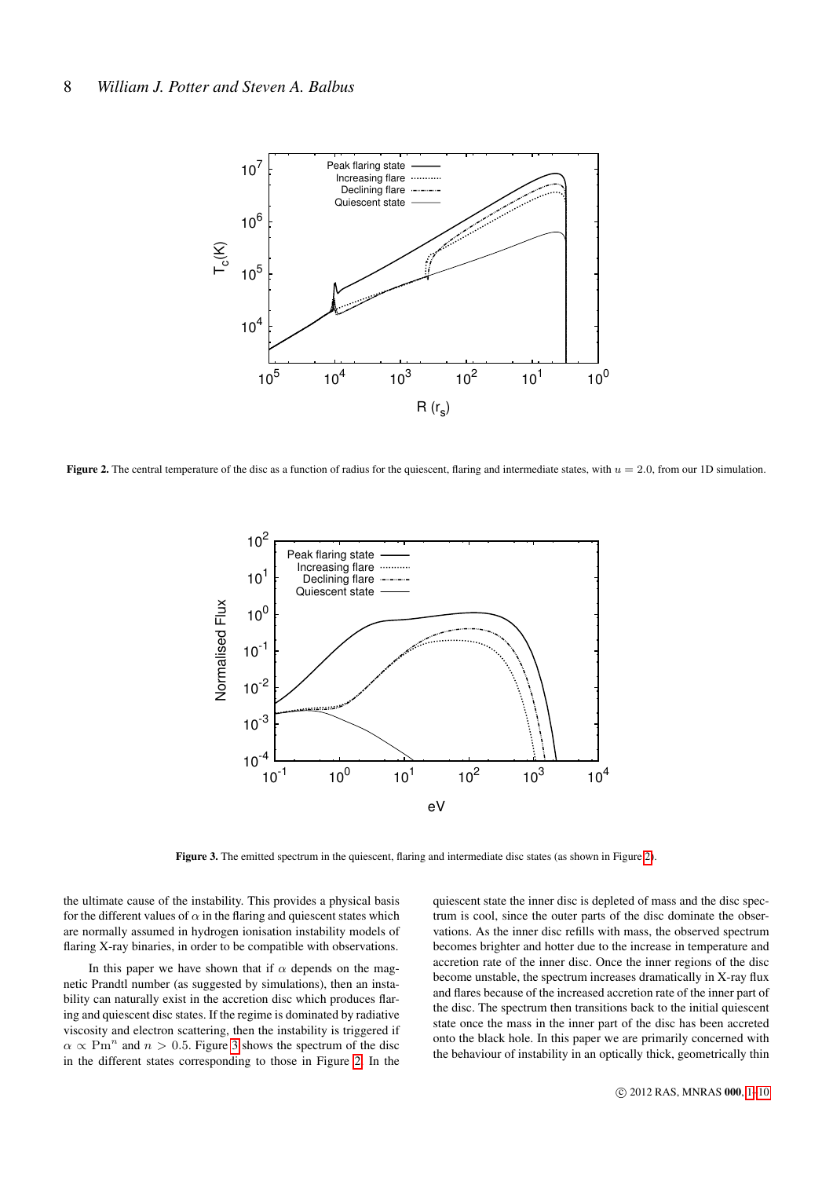<span id="page-7-0"></span>

<span id="page-7-1"></span>Figure 2. The central temperature of the disc as a function of radius for the quiescent, flaring and intermediate states, with  $u = 2.0$ , from our 1D simulation.



Figure 3. The emitted spectrum in the quiescent, flaring and intermediate disc states (as shown in Figure [2\)](#page-7-0).

the ultimate cause of the instability. This provides a physical basis for the different values of  $\alpha$  in the flaring and quiescent states which are normally assumed in hydrogen ionisation instability models of flaring X-ray binaries, in order to be compatible with observations.

In this paper we have shown that if  $\alpha$  depends on the magnetic Prandtl number (as suggested by simulations), then an instability can naturally exist in the accretion disc which produces flaring and quiescent disc states. If the regime is dominated by radiative viscosity and electron scattering, then the instability is triggered if  $\alpha \propto \text{Pm}^n$  and  $n > 0.5$ . Figure [3](#page-7-1) shows the spectrum of the disc in the different states corresponding to those in Figure [2.](#page-7-0) In the

quiescent state the inner disc is depleted of mass and the disc spectrum is cool, since the outer parts of the disc dominate the observations. As the inner disc refills with mass, the observed spectrum becomes brighter and hotter due to the increase in temperature and accretion rate of the inner disc. Once the inner regions of the disc become unstable, the spectrum increases dramatically in X-ray flux and flares because of the increased accretion rate of the inner part of the disc. The spectrum then transitions back to the initial quiescent state once the mass in the inner part of the disc has been accreted onto the black hole. In this paper we are primarily concerned with the behaviour of instability in an optically thick, geometrically thin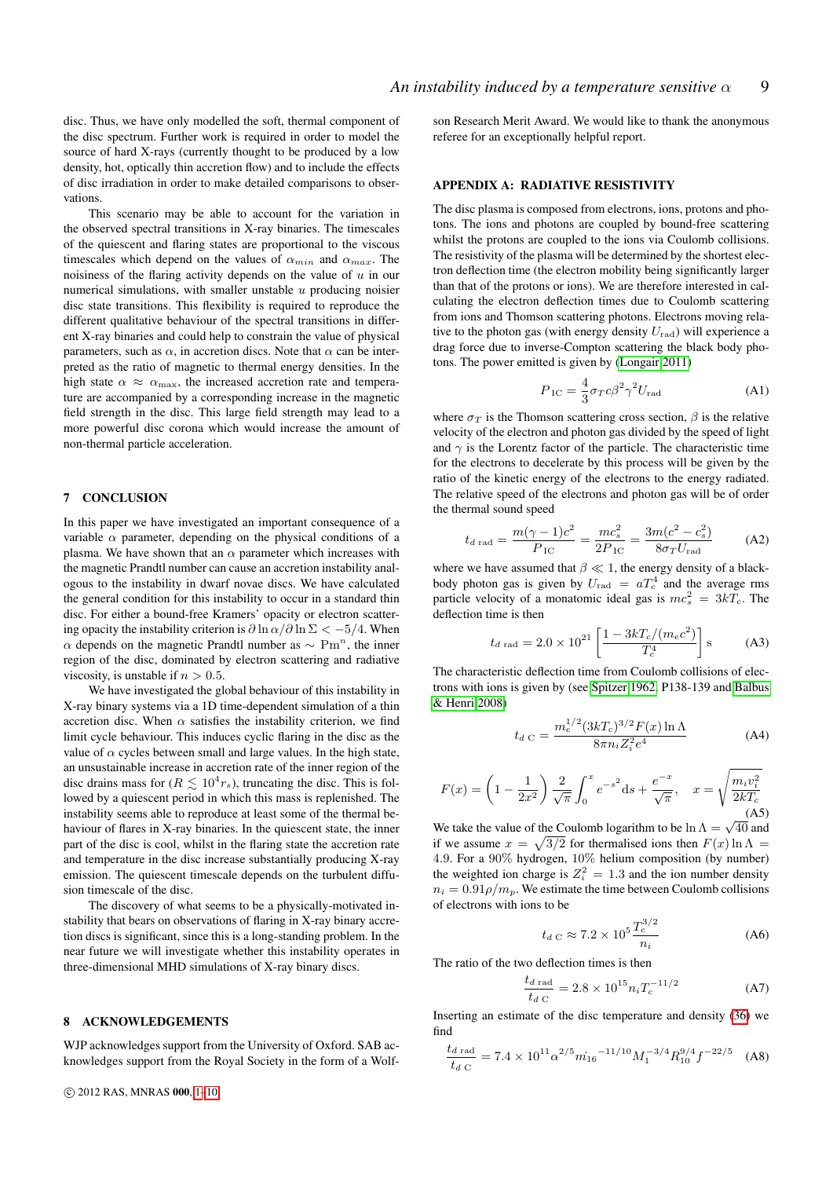disc. Thus, we have only modelled the soft, thermal component of the disc spectrum. Further work is required in order to model the source of hard X-rays (currently thought to be produced by a low density, hot, optically thin accretion flow) and to include the effects of disc irradiation in order to make detailed comparisons to observations.

This scenario may be able to account for the variation in the observed spectral transitions in X-ray binaries. The timescales of the quiescent and flaring states are proportional to the viscous timescales which depend on the values of  $\alpha_{min}$  and  $\alpha_{max}$ . The noisiness of the flaring activity depends on the value of  $u$  in our numerical simulations, with smaller unstable  $u$  producing noisier disc state transitions. This flexibility is required to reproduce the different qualitative behaviour of the spectral transitions in different X-ray binaries and could help to constrain the value of physical parameters, such as  $\alpha$ , in accretion discs. Note that  $\alpha$  can be interpreted as the ratio of magnetic to thermal energy densities. In the high state  $\alpha \approx \alpha_{\text{max}}$ , the increased accretion rate and temperature are accompanied by a corresponding increase in the magnetic field strength in the disc. This large field strength may lead to a more powerful disc corona which would increase the amount of non-thermal particle acceleration.

# 7 CONCLUSION

In this paper we have investigated an important consequence of a variable  $\alpha$  parameter, depending on the physical conditions of a plasma. We have shown that an  $\alpha$  parameter which increases with the magnetic Prandtl number can cause an accretion instability analogous to the instability in dwarf novae discs. We have calculated the general condition for this instability to occur in a standard thin disc. For either a bound-free Kramers' opacity or electron scattering opacity the instability criterion is  $\partial \ln \alpha / \partial \ln \Sigma < -5/4$ . When  $\alpha$  depends on the magnetic Prandtl number as  $\sim \text{Pm}^n$ , the inner region of the disc, dominated by electron scattering and radiative viscosity, is unstable if  $n > 0.5$ .

We have investigated the global behaviour of this instability in X-ray binary systems via a 1D time-dependent simulation of a thin accretion disc. When  $\alpha$  satisfies the instability criterion, we find limit cycle behaviour. This induces cyclic flaring in the disc as the value of  $\alpha$  cycles between small and large values. In the high state, an unsustainable increase in accretion rate of the inner region of the disc drains mass for ( $R \lesssim 10^4 r_s$ ), truncating the disc. This is followed by a quiescent period in which this mass is replenished. The instability seems able to reproduce at least some of the thermal behaviour of flares in X-ray binaries. In the quiescent state, the inner part of the disc is cool, whilst in the flaring state the accretion rate and temperature in the disc increase substantially producing X-ray emission. The quiescent timescale depends on the turbulent diffusion timescale of the disc.

The discovery of what seems to be a physically-motivated instability that bears on observations of flaring in X-ray binary accretion discs is significant, since this is a long-standing problem. In the near future we will investigate whether this instability operates in three-dimensional MHD simulations of X-ray binary discs.

### 8 ACKNOWLEDGEMENTS

WJP acknowledges support from the University of Oxford. SAB acknowledges support from the Royal Society in the form of a Wolfson Research Merit Award. We would like to thank the anonymous referee for an exceptionally helpful report.

## APPENDIX A: RADIATIVE RESISTIVITY

The disc plasma is composed from electrons, ions, protons and photons. The ions and photons are coupled by bound-free scattering whilst the protons are coupled to the ions via Coulomb collisions. The resistivity of the plasma will be determined by the shortest electron deflection time (the electron mobility being significantly larger than that of the protons or ions). We are therefore interested in calculating the electron deflection times due to Coulomb scattering from ions and Thomson scattering photons. Electrons moving relative to the photon gas (with energy density  $U_{\text{rad}}$ ) will experience a drag force due to inverse-Compton scattering the black body photons. The power emitted is given by [\(Longair 2011\)](#page-9-28)

$$
P_{\rm IC} = \frac{4}{3}\sigma_T c \beta^2 \gamma^2 U_{\rm rad} \tag{A1}
$$

where  $\sigma_T$  is the Thomson scattering cross section,  $\beta$  is the relative velocity of the electron and photon gas divided by the speed of light and  $\gamma$  is the Lorentz factor of the particle. The characteristic time for the electrons to decelerate by this process will be given by the ratio of the kinetic energy of the electrons to the energy radiated. The relative speed of the electrons and photon gas will be of order the thermal sound speed

$$
t_{d \text{ rad}} = \frac{m(\gamma - 1)c^2}{P_{\text{IC}}} = \frac{mc_s^2}{2P_{\text{IC}}} = \frac{3m(c^2 - c_s^2)}{8\sigma_T U_{\text{rad}}}
$$
 (A2)

where we have assumed that  $\beta \ll 1$ , the energy density of a blackbody photon gas is given by  $U_{\text{rad}} = aT_c^4$  and the average rms particle velocity of a monatomic ideal gas is  $mc_s^2 = 3kT_c$ . The deflection time is then

$$
t_{d \text{ rad}} = 2.0 \times 10^{21} \left[ \frac{1 - 3kT_c/(m_e c^2)}{T_c^4} \right] \text{s} \tag{A3}
$$

The characteristic deflection time from Coulomb collisions of electrons with ions is given by (see [Spitzer 1962,](#page-9-29) P138-139 and [Balbus](#page-9-13) [& Henri 2008\)](#page-9-13)

$$
t_{d C} = \frac{m_e^{1/2} (3kT_c)^{3/2} F(x) \ln \Lambda}{8\pi n_i Z_i^2 e^4}
$$
 (A4)

$$
F(x) = \left(1 - \frac{1}{2x^2}\right) \frac{2}{\sqrt{\pi}} \int_0^x e^{-s^2} \, \mathrm{d}s + \frac{e^{-x}}{\sqrt{\pi}}, \quad x = \sqrt{\frac{m_i v_i^2}{2kT_c}}
$$
\n(A5)

We take the value of the Coulomb logarithm to be  $\ln \Lambda = \sqrt{40}$  and if we assume  $x = \sqrt{3/2}$  for thermalised ions then  $F(x) \ln \Lambda =$ 4.9. For a 90% hydrogen, 10% helium composition (by number) the weighted ion charge is  $Z_i^2 = 1.3$  and the ion number density  $n_i = 0.91 \rho/m_p$ . We estimate the time between Coulomb collisions of electrons with ions to be

$$
t_{d C} \approx 7.2 \times 10^5 \frac{T_c^{3/2}}{n_i}
$$
 (A6)

The ratio of the two deflection times is then

$$
\frac{t_{d \text{ rad}}}{t_{d \text{ C}}} = 2.8 \times 10^{15} n_i T_c^{-11/2}
$$
 (A7)

Inserting an estimate of the disc temperature and density [\(36\)](#page-3-3) we find

$$
\frac{t_{d \text{ rad}}}{t_{d \text{ C}}} = 7.4 \times 10^{11} \alpha^{2/5} \dot{m}_{16}^{-11/10} M_1^{-3/4} R_{10}^{9/4} f^{-22/5}
$$
 (A8)